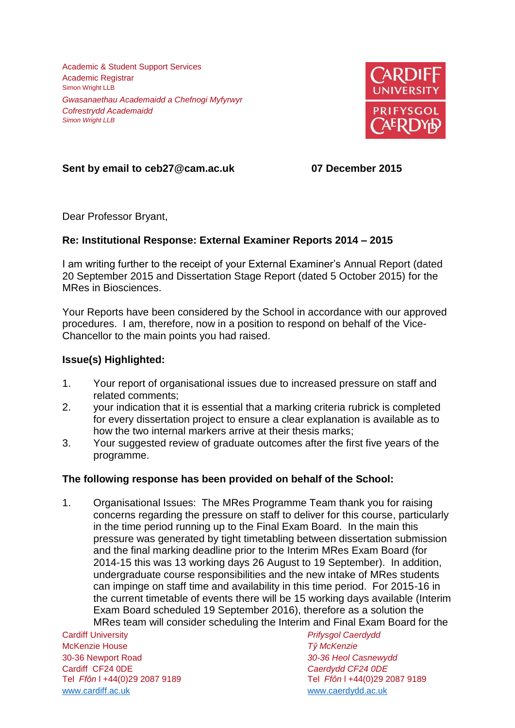Academic & Student Support Services Academic Registrar Simon Wright LLB *Gwasanaethau Academaidd a Chefnogi Myfyrwyr Cofrestrydd Academaidd Simon Wright LLB*



**Sent by email to ceb27@cam.ac.uk 07 December 2015**

Dear Professor Bryant,

## **Re: Institutional Response: External Examiner Reports 2014 – 2015**

I am writing further to the receipt of your External Examiner's Annual Report (dated 20 September 2015 and Dissertation Stage Report (dated 5 October 2015) for the MRes in Biosciences.

Your Reports have been considered by the School in accordance with our approved procedures. I am, therefore, now in a position to respond on behalf of the Vice-Chancellor to the main points you had raised.

## **Issue(s) Highlighted:**

- 1. Your report of organisational issues due to increased pressure on staff and related comments;
- 2. your indication that it is essential that a marking criteria rubrick is completed for every dissertation project to ensure a clear explanation is available as to how the two internal markers arrive at their thesis marks;
- 3. Your suggested review of graduate outcomes after the first five years of the programme.

## **The following response has been provided on behalf of the School:**

1. Organisational Issues: The MRes Programme Team thank you for raising concerns regarding the pressure on staff to deliver for this course, particularly in the time period running up to the Final Exam Board. In the main this pressure was generated by tight timetabling between dissertation submission and the final marking deadline prior to the Interim MRes Exam Board (for 2014-15 this was 13 working days 26 August to 19 September). In addition, undergraduate course responsibilities and the new intake of MRes students can impinge on staff time and availability in this time period. For 2015-16 in the current timetable of events there will be 15 working days available (Interim Exam Board scheduled 19 September 2016), therefore as a solution the MRes team will consider scheduling the Interim and Final Exam Board for the

Cardiff University *Prifysgol Caerdydd* McKenzie House *Tŷ McKenzie* 30-36 Newport Road *30-36 Heol Casnewydd* Cardiff CF24 0DE *Caerdydd CF24 0DE* [www.cardiff.ac.uk](http://www.cardiff.ac.uk/) www.cardiff.ac.uk

Tel *Ffôn* l +44(0)29 2087 9189 Tel *Ffôn* l +44(0)29 2087 9189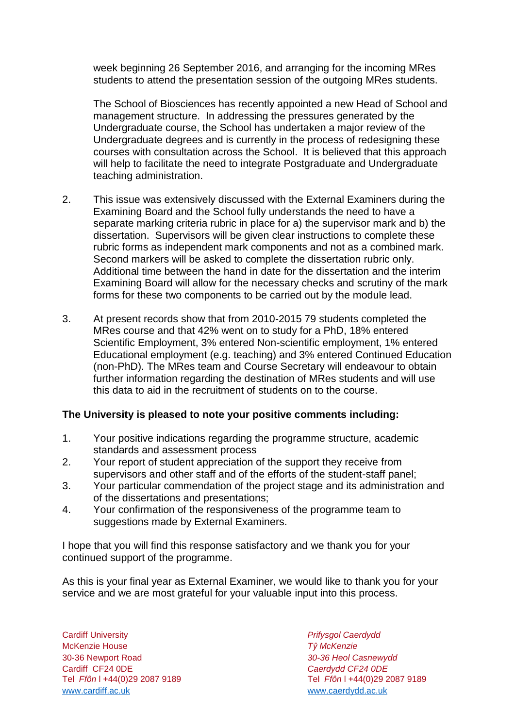week beginning 26 September 2016, and arranging for the incoming MRes students to attend the presentation session of the outgoing MRes students.

The School of Biosciences has recently appointed a new Head of School and management structure. In addressing the pressures generated by the Undergraduate course, the School has undertaken a major review of the Undergraduate degrees and is currently in the process of redesigning these courses with consultation across the School. It is believed that this approach will help to facilitate the need to integrate Postgraduate and Undergraduate teaching administration.

- 2. This issue was extensively discussed with the External Examiners during the Examining Board and the School fully understands the need to have a separate marking criteria rubric in place for a) the supervisor mark and b) the dissertation. Supervisors will be given clear instructions to complete these rubric forms as independent mark components and not as a combined mark. Second markers will be asked to complete the dissertation rubric only. Additional time between the hand in date for the dissertation and the interim Examining Board will allow for the necessary checks and scrutiny of the mark forms for these two components to be carried out by the module lead.
- 3. At present records show that from 2010-2015 79 students completed the MRes course and that 42% went on to study for a PhD, 18% entered Scientific Employment, 3% entered Non-scientific employment, 1% entered Educational employment (e.g. teaching) and 3% entered Continued Education (non-PhD). The MRes team and Course Secretary will endeavour to obtain further information regarding the destination of MRes students and will use this data to aid in the recruitment of students on to the course.

## **The University is pleased to note your positive comments including:**

- 1. Your positive indications regarding the programme structure, academic standards and assessment process
- 2. Your report of student appreciation of the support they receive from supervisors and other staff and of the efforts of the student-staff panel;
- 3. Your particular commendation of the project stage and its administration and of the dissertations and presentations;
- 4. Your confirmation of the responsiveness of the programme team to suggestions made by External Examiners.

I hope that you will find this response satisfactory and we thank you for your continued support of the programme.

As this is your final year as External Examiner, we would like to thank you for your service and we are most grateful for your valuable input into this process.

Cardiff University *Prifysgol Caerdydd* McKenzie House *Tŷ McKenzie* 30-36 Newport Road *30-36 Heol Casnewydd* Tel *Ffôn* l +44(0)29 2087 9189 Tel *Ffôn* l +44(0)29 2087 9189 [www.cardiff.ac.uk](http://www.cardiff.ac.uk/) [www.caerdydd.ac.uk](http://www.caerdydd.ac.uk/)

Cardiff CF24 0DE *Caerdydd CF24 0DE*